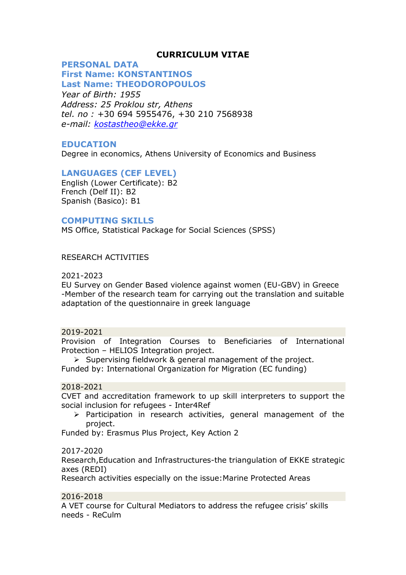# **CURRICULUM VITAE**

**PERSONAL DATA First Name: KONSTANTINOS Last Name: THEODOROPOULOS** *Year of Birth: 1955 Address: 25 Proklou str, Athens tel. no :* +30 694 5955476, +30 210 7568938 *e-mail: [kostastheo@ekke.gr](mailto:kostastheo@ekke.gr)*

### **EDUCATION**

Degree in economics, Athens University of Economics and Business

### **LANGUAGES (CEF LEVEL)**

English (Lower Certificate): Β2 French (Delf II): Β2 Spanish (Basico): Β1

## **COMPUTING SKILLS**

MS Office, Statistical Package for Social Sciences (SPSS)

## RESEARCH ACTIVITIES

#### 2021-2023

EU Survey on Gender Based violence against women (EU-GBV) in Greece -Member of the research team for carrying out the translation and suitable adaptation of the questionnaire in greek language

2019-2021

Provision of Integration Courses to Beneficiaries of International Protection – HELIOS Integration project.

 $\triangleright$  Supervising fieldwork & general management of the project. Funded by: International Organization for Migration (EC funding)

## 2018-2021

CVET and accreditation framework to up skill interpreters to support the social inclusion for refugees - Inter4Ref

 $\triangleright$  Participation in research activities, general management of the project.

Funded by: Erasmus Plus Project, Key Action 2

2017-2020

Research,Education and Infrastructures-the triangulation of EKKE strategic axes (REDI)

Research activities especially on the issue:Marine Protected Areas

2016-2018

A VET course for Cultural Mediators to address the refugee crisis' skills needs - ReCulm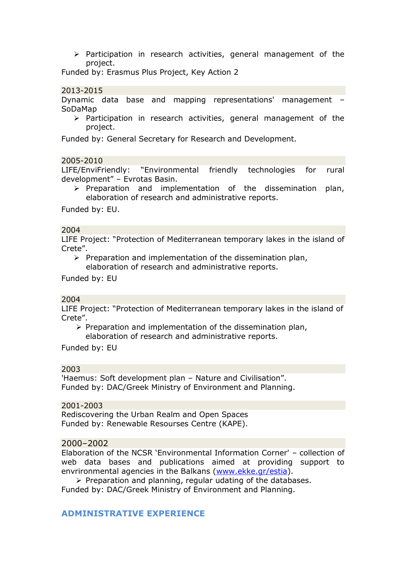$\triangleright$  Participation in research activities, general management of the project.

Funded by: Erasmus Plus Project, Key Action 2

#### 2013-2015

Dynamic data base and mapping representations' management SoDaMap

 $\triangleright$  Participation in research activities, general management of the project.

Funded by: General Secretary for Research and Development.

2005-2010

LIFE/EnviFriendly: "Environmental friendly technologies for rural development" – Evrotas Basin.

 $\triangleright$  Preparation and implementation of the dissemination plan, elaboration of research and administrative reports.

Funded by: EU.

#### 2004

LIFE Project: "Protection of Mediterranean temporary lakes in the island of Crete".

 $\triangleright$  Preparation and implementation of the dissemination plan, elaboration of research and administrative reports.

Funded by: EU

#### 2004

LIFE Project: "Protection of Mediterranean temporary lakes in the island of Crete".

 $\triangleright$  Preparation and implementation of the dissemination plan, elaboration of research and administrative reports.

Funded by: EU

#### 2003

'Haemus: Soft development plan – Nature and Civilisation". Funded by: DAC/Greek Ministry of Environment and Planning.

2001-2003

Rediscovering the Urban Realm and Open Spaces Funded by: Renewable Resourses Centre (KAPE).

#### 2000–2002

Elaboration of the NCSR 'Environmental Information Corner' – collection of web data bases and publications aimed at providing support to envrironmental agencies in the Balkans [\(www.ekke.gr/estia\)](http://www.ekke.gr/estia).

 $\triangleright$  Preparation and planning, regular udating of the databases. Funded by: DAC/Greek Ministry of Environment and Planning.

## **ADMINISTRATIVE EXPERIENCE**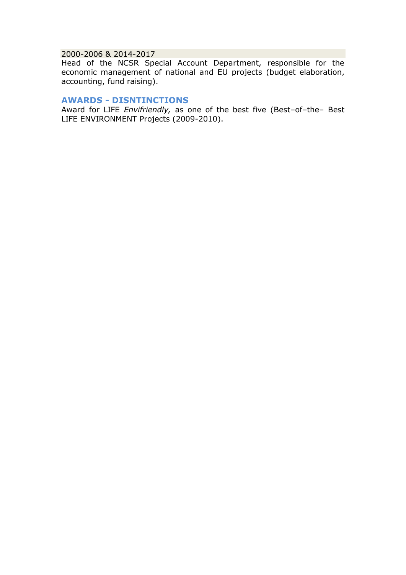# 2000-2006 & 2014-2017

Head of the NCSR Special Account Department, responsible for the economic management of national and EU projects (budget elaboration, accounting, fund raising).

## **AWARDS - DISNTINCTIONS**

Award for LIFE *Envifriendly,* as one of the best five (Best–of–the– Best LIFE ENVIRONMENT Projects (2009-2010).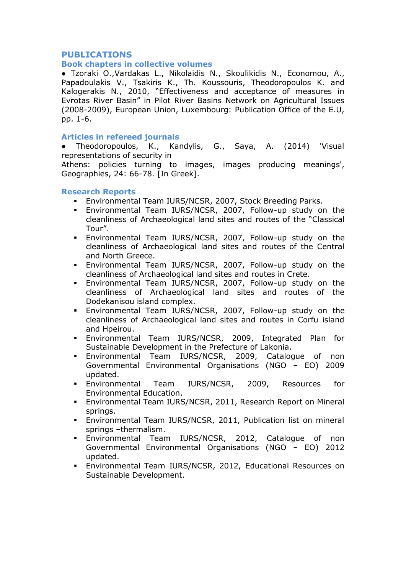# **PUBLICATIONS**

# **Book chapters in collective volumes**

● Tzoraki O.,Vardakas L., Nikolaidis N., Skoulikidis N., Economou, A., Papadoulakis V., Tsakiris K., Th. Koussouris, Theodoropoulos K. and Kalogerakis N., 2010, "Effectiveness and acceptance of measures in Evrotas River Basin" in Pilot River Basins Network on Agricultural Issues (2008-2009), European Union, Luxembourg: Publication Office of the E.U, pp. 1-6.

## **Articles in refereed journals**

● Theodoropoulos, K., Kandylis, G., Saya, A. (2014) 'Visual representations of security in

Athens: policies turning to images, images producing meanings', Geographies, 24: 66-78. [In Greek].

## **Research Reports**

- Environmental Team IURS/NCSR, 2007, Stock Breeding Parks.
- Environmental Team IURS/NCSR, 2007, Follow-up study on the cleanliness of Archaeological land sites and routes of the "Classical Tour".
- Environmental Team IURS/NCSR, 2007, Follow-up study on the cleanliness of Archaeological land sites and routes of the Central and North Greece.
- Environmental Team IURS/NCSR, 2007, Follow-up study on the cleanliness of Archaeological land sites and routes in Crete.
- Environmental Team IURS/NCSR, 2007, Follow-up study on the cleanliness of Archaeological land sites and routes of the Dodekanisou island complex.
- Environmental Team IURS/NCSR, 2007, Follow-up study on the cleanliness of Archaeological land sites and routes in Corfu island and Hpeirou.
- Environmental Team IURS/NCSR, 2009, Integrated Plan for Sustainable Development in the Prefecture of Lakonia.
- Environmental Team IURS/NCSR, 2009, Catalogue of non Governmental Environmental Organisations (NGO – EO) 2009 updated.
- Environmental Team IURS/NCSR, 2009, Resources for Environmental Education.
- Environmental Team IURS/NCSR, 2011, Research Report on Mineral springs.
- Environmental Team IURS/NCSR, 2011, Publication list on mineral springs –thermalism.
- Environmental Team IURS/NCSR, 2012, Catalogue of non Governmental Environmental Organisations (NGO – EO) 2012 updated.
- Environmental Team IURS/NCSR, 2012, Educational Resources on Sustainable Development.